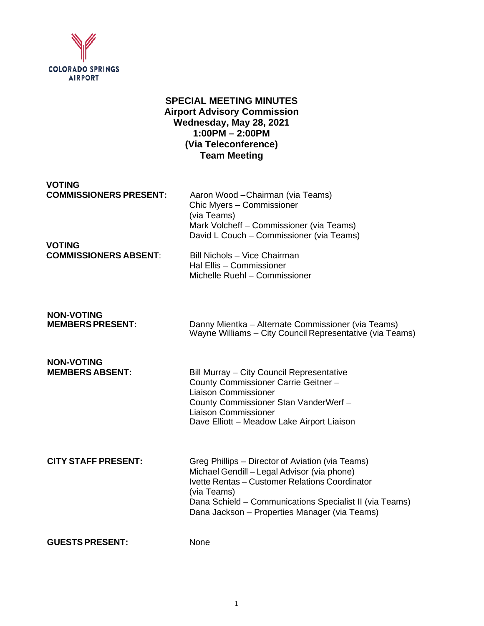

# **SPECIAL MEETING MINUTES Airport Advisory Commission Wednesday, May 28, 2021 1:00PM – 2:00PM (Via Teleconference) Team Meeting**

**VOTING<br>COMMISSIONERS PRESENT:** 

Aaron Wood – Chairman (via Teams) Chic Myers – Commissioner (via Teams) Mark Volcheff – Commissioner (via Teams) David L Couch – Commissioner (via Teams)

**VOTING**

**COMMISSIONERS ABSENT**: Bill Nichols – Vice Chairman Hal Ellis – Commissioner Michelle Ruehl – Commissioner

**NON-VOTING**

Danny Mientka – Alternate Commissioner (via Teams) Wayne Williams – City Council Representative (via Teams)

**NON-VOTING**

**Bill Murray – City Council Representative** County Commissioner Carrie Geitner – Liaison Commissioner County Commissioner Stan VanderWerf – Liaison Commissioner Dave Elliott – Meadow Lake Airport Liaison

**CITY STAFF PRESENT:** Greg Phillips – Director of Aviation (via Teams) Michael Gendill – Legal Advisor (via phone) Ivette Rentas – Customer Relations Coordinator (via Teams) Dana Schield – Communications Specialist II (via Teams) Dana Jackson – Properties Manager (via Teams)

**GUESTS PRESENT:** None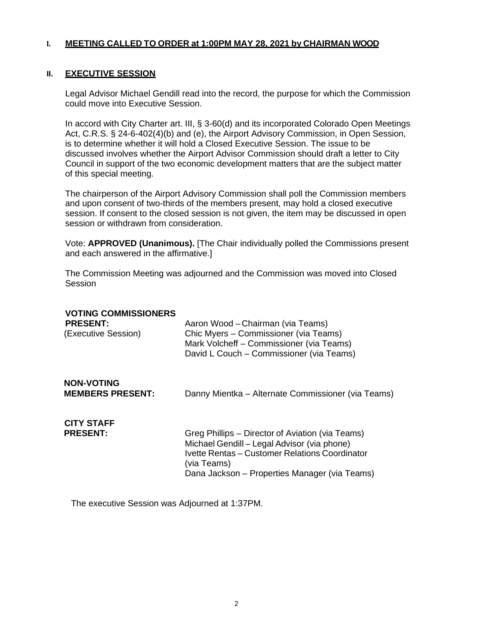# **I. MEETING CALLED TO ORDER at 1:00PM MAY 28, 2021 by CHAIRMAN WOOD**

#### **II. EXECUTIVE SESSION**

Legal Advisor Michael Gendill read into the record, the purpose for which the Commission could move into Executive Session.

In accord with City Charter art. III, § 3-60(d) and its incorporated Colorado Open Meetings Act, C.R.S. § 24-6-402(4)(b) and (e), the Airport Advisory Commission, in Open Session, is to determine whether it will hold a Closed Executive Session. The issue to be discussed involves whether the Airport Advisor Commission should draft a letter to City Council in support of the two economic development matters that are the subject matter of this special meeting.

The chairperson of the Airport Advisory Commission shall poll the Commission members and upon consent of two-thirds of the members present, may hold a closed executive session. If consent to the closed session is not given, the item may be discussed in open session or withdrawn from consideration.

Vote: **APPROVED (Unanimous).** [The Chair individually polled the Commissions present and each answered in the affirmative.]

The Commission Meeting was adjourned and the Commission was moved into Closed Session

| <b>VOTING COMMISSIONERS</b><br><b>PRESENT:</b><br>(Executive Session) | Aaron Wood - Chairman (via Teams)<br>Chic Myers - Commissioner (via Teams)<br>Mark Volcheff - Commissioner (via Teams)<br>David L Couch – Commissioner (via Teams)                                                |
|-----------------------------------------------------------------------|-------------------------------------------------------------------------------------------------------------------------------------------------------------------------------------------------------------------|
| <b>NON-VOTING</b><br><b>MEMBERS PRESENT:</b>                          | Danny Mientka – Alternate Commissioner (via Teams)                                                                                                                                                                |
| <b>CITY STAFF</b><br><b>PRESENT:</b>                                  | Greg Phillips – Director of Aviation (via Teams)<br>Michael Gendill - Legal Advisor (via phone)<br>Ivette Rentas - Customer Relations Coordinator<br>(via Teams)<br>Dana Jackson – Properties Manager (via Teams) |

The executive Session was Adjourned at 1:37PM.